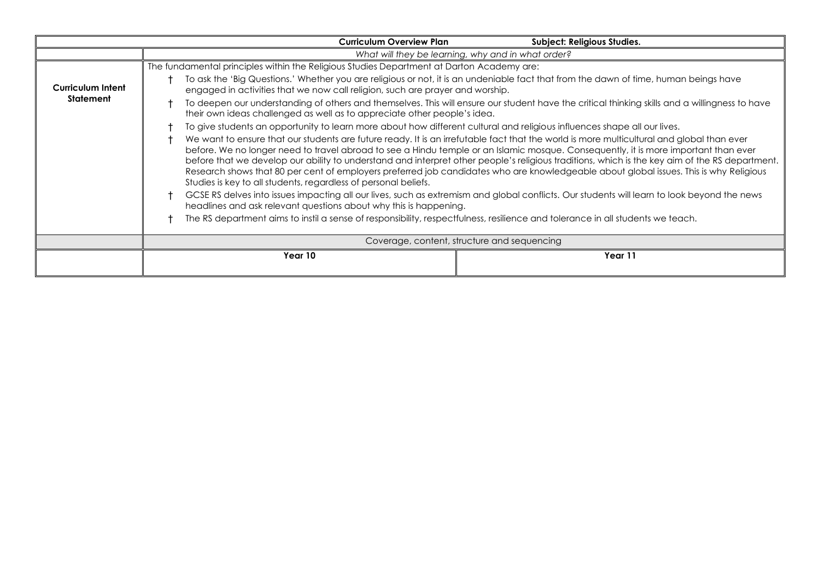|                   | <b>Curriculum Overview Plan</b>                                                                                                                                                                                                                                                                                                                                                                                                                                                                                                                                                                                                                 | Subject: Religious Studies. |  |
|-------------------|-------------------------------------------------------------------------------------------------------------------------------------------------------------------------------------------------------------------------------------------------------------------------------------------------------------------------------------------------------------------------------------------------------------------------------------------------------------------------------------------------------------------------------------------------------------------------------------------------------------------------------------------------|-----------------------------|--|
|                   | What will they be learning, why and in what order?                                                                                                                                                                                                                                                                                                                                                                                                                                                                                                                                                                                              |                             |  |
|                   | The fundamental principles within the Religious Studies Department at Darton Academy are:                                                                                                                                                                                                                                                                                                                                                                                                                                                                                                                                                       |                             |  |
| Curriculum Intent | To ask the 'Big Questions.' Whether you are religious or not, it is an undeniable fact that from the dawn of time, human beings have<br>engaged in activities that we now call religion, such are prayer and worship.                                                                                                                                                                                                                                                                                                                                                                                                                           |                             |  |
| Statement         | To deepen our understanding of others and themselves. This will ensure our student have the critical thinking skills and a willingness to have<br>their own ideas challenged as well as to appreciate other people's idea.                                                                                                                                                                                                                                                                                                                                                                                                                      |                             |  |
|                   | To give students an opportunity to learn more about how different cultural and religious influences shape all our lives.                                                                                                                                                                                                                                                                                                                                                                                                                                                                                                                        |                             |  |
|                   | We want to ensure that our students are future ready. It is an irrefutable fact that the world is more multicultural and global than ever<br>before. We no longer need to travel abroad to see a Hindu temple or an Islamic mosque. Consequently, it is more important than ever<br>before that we develop our ability to understand and interpret other people's religious traditions, which is the key aim of the RS department.<br>Research shows that 80 per cent of employers preferred job candidates who are knowledgeable about global issues. This is why Religious<br>Studies is key to all students, regardless of personal beliefs. |                             |  |
|                   | GCSE RS delves into issues impacting all our lives, such as extremism and global conflicts. Our students will learn to look beyond the news<br>headlines and ask relevant questions about why this is happening.<br>The RS department aims to instil a sense of responsibility, respectfulness, resilience and tolerance in all students we teach.                                                                                                                                                                                                                                                                                              |                             |  |
|                   |                                                                                                                                                                                                                                                                                                                                                                                                                                                                                                                                                                                                                                                 |                             |  |
|                   | Coverage, content, structure and sequencing                                                                                                                                                                                                                                                                                                                                                                                                                                                                                                                                                                                                     |                             |  |
|                   | Year 10                                                                                                                                                                                                                                                                                                                                                                                                                                                                                                                                                                                                                                         | Year 11                     |  |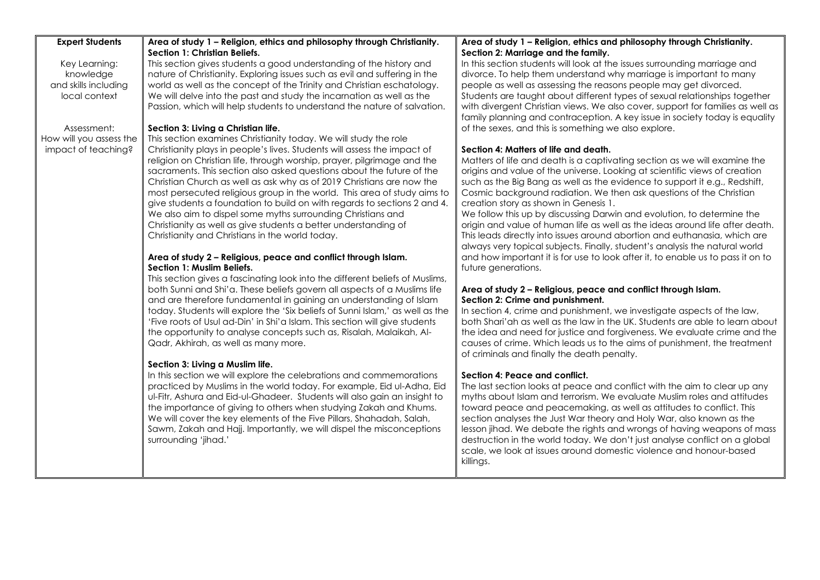| <b>Expert Students</b>  | Area of study 1 - Religion, ethics and philosophy through Christianity.       | Area of study 1 - Religion, ethics and philosophy through Christianity.         |
|-------------------------|-------------------------------------------------------------------------------|---------------------------------------------------------------------------------|
|                         | <b>Section 1: Christian Beliefs.</b>                                          | Section 2: Marriage and the family.                                             |
| Key Learning:           | This section gives students a good understanding of the history and           | In this section students will look at the issues surrounding marriage and       |
| knowledge               | nature of Christianity. Exploring issues such as evil and suffering in the    | divorce. To help them understand why marriage is important to many              |
| and skills including    | world as well as the concept of the Trinity and Christian eschatology.        | people as well as assessing the reasons people may get divorced.                |
| local context           | We will delve into the past and study the incarnation as well as the          | Students are taught about different types of sexual relationships together      |
|                         | Passion, which will help students to understand the nature of salvation.      | with divergent Christian views. We also cover, support for families as well as  |
|                         |                                                                               | family planning and contraception. A key issue in society today is equality     |
| Assessment:             | Section 3: Living a Christian life.                                           | of the sexes, and this is something we also explore.                            |
| How will you assess the | This section examines Christianity today. We will study the role              |                                                                                 |
| impact of teaching?     | Christianity plays in people's lives. Students will assess the impact of      | Section 4: Matters of life and death.                                           |
|                         | religion on Christian life, through worship, prayer, pilgrimage and the       | Matters of life and death is a captivating section as we will examine the       |
|                         | sacraments. This section also asked questions about the future of the         | origins and value of the universe. Looking at scientific views of creation      |
|                         | Christian Church as well as ask why as of 2019 Christians are now the         | such as the Big Bang as well as the evidence to support it e.g., Redshift,      |
|                         | most persecuted religious group in the world. This area of study aims to      | Cosmic background radiation. We then ask questions of the Christian             |
|                         | give students a foundation to build on with regards to sections 2 and 4.      | creation story as shown in Genesis 1.                                           |
|                         | We also aim to dispel some myths surrounding Christians and                   | We follow this up by discussing Darwin and evolution, to determine the          |
|                         | Christianity as well as give students a better understanding of               | origin and value of human life as well as the ideas around life after death.    |
|                         | Christianity and Christians in the world today.                               | This leads directly into issues around abortion and euthanasia, which are       |
|                         |                                                                               | always very topical subjects. Finally, student's analysis the natural world     |
|                         | Area of study 2 - Religious, peace and conflict through Islam.                | and how important it is for use to look after it, to enable us to pass it on to |
|                         | Section 1: Muslim Beliefs.                                                    | future generations.                                                             |
|                         | This section gives a fascinating look into the different beliefs of Muslims,  |                                                                                 |
|                         | both Sunni and Shi'a. These beliefs govern all aspects of a Muslims life      | Area of study 2 - Religious, peace and conflict through Islam.                  |
|                         | and are therefore fundamental in gaining an understanding of Islam            | Section 2: Crime and punishment.                                                |
|                         | today. Students will explore the 'Six beliefs of Sunni Islam,' as well as the | In section 4, crime and punishment, we investigate aspects of the law,          |
|                         | 'Five roots of Usul ad-Din' in Shi'a Islam. This section will give students   | both Shari'ah as well as the law in the UK. Students are able to learn about    |
|                         | the opportunity to analyse concepts such as, Risalah, Malaikah, Al-           | the idea and need for justice and forgiveness. We evaluate crime and the        |
|                         | Qadr, Akhirah, as well as many more.                                          | causes of crime. Which leads us to the aims of punishment, the treatment        |
|                         |                                                                               | of criminals and finally the death penalty.                                     |
|                         | Section 3: Living a Muslim life.                                              |                                                                                 |
|                         | In this section we will explore the celebrations and commemorations           | Section 4: Peace and conflict.                                                  |
|                         | practiced by Muslims in the world today. For example, Eid ul-Adha, Eid        | The last section looks at peace and conflict with the aim to clear up any       |
|                         | ul-Fitr, Ashura and Eid-ul-Ghadeer. Students will also gain an insight to     | myths about Islam and terrorism. We evaluate Muslim roles and attitudes         |
|                         |                                                                               |                                                                                 |
|                         | the importance of giving to others when studying Zakah and Khums.             | toward peace and peacemaking, as well as attitudes to conflict. This            |
|                         | We will cover the key elements of the Five Pillars, Shahadah, Salah,          | section analyses the Just War theory and Holy War, also known as the            |
|                         | Sawm, Zakah and Hajj. Importantly, we will dispel the misconceptions          | lesson jihad. We debate the rights and wrongs of having weapons of mass         |
|                         | surrounding 'jihad.'                                                          | destruction in the world today. We don't just analyse conflict on a global      |
|                         |                                                                               | scale, we look at issues around domestic violence and honour-based              |
|                         |                                                                               | killings.                                                                       |
|                         |                                                                               |                                                                                 |